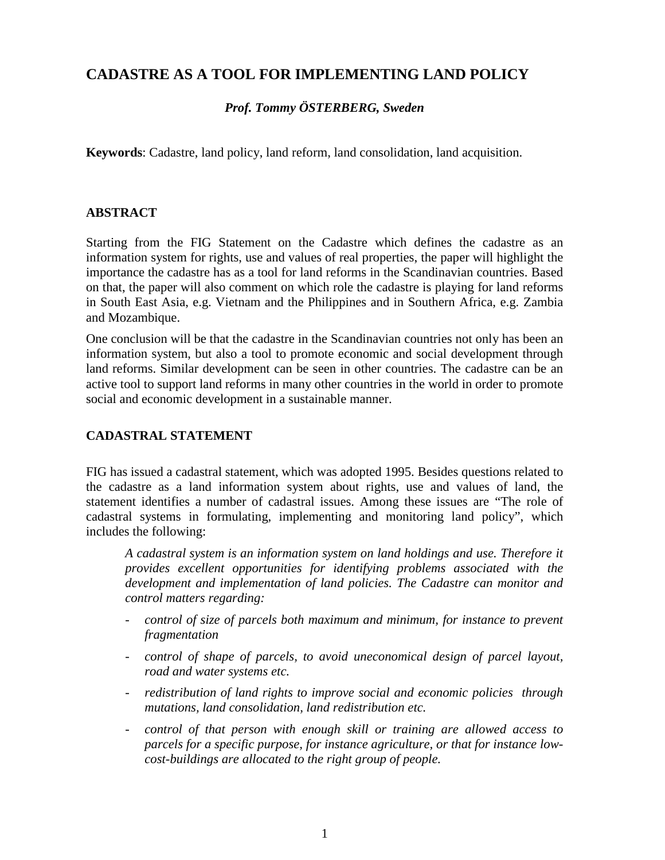# **CADASTRE AS A TOOL FOR IMPLEMENTING LAND POLICY**

### *Prof. Tommy ÖSTERBERG, Sweden*

**Keywords**: Cadastre, land policy, land reform, land consolidation, land acquisition.

#### **ABSTRACT**

Starting from the FIG Statement on the Cadastre which defines the cadastre as an information system for rights, use and values of real properties, the paper will highlight the importance the cadastre has as a tool for land reforms in the Scandinavian countries. Based on that, the paper will also comment on which role the cadastre is playing for land reforms in South East Asia, e.g. Vietnam and the Philippines and in Southern Africa, e.g. Zambia and Mozambique.

One conclusion will be that the cadastre in the Scandinavian countries not only has been an information system, but also a tool to promote economic and social development through land reforms. Similar development can be seen in other countries. The cadastre can be an active tool to support land reforms in many other countries in the world in order to promote social and economic development in a sustainable manner.

#### **CADASTRAL STATEMENT**

FIG has issued a cadastral statement, which was adopted 1995. Besides questions related to the cadastre as a land information system about rights, use and values of land, the statement identifies a number of cadastral issues. Among these issues are "The role of cadastral systems in formulating, implementing and monitoring land policy", which includes the following:

*A cadastral system is an information system on land holdings and use. Therefore it provides excellent opportunities for identifying problems associated with the development and implementation of land policies. The Cadastre can monitor and control matters regarding:*

- *control of size of parcels both maximum and minimum, for instance to prevent fragmentation*
- *control of shape of parcels, to avoid uneconomical design of parcel layout, road and water systems etc.*
- *redistribution of land rights to improve social and economic policies through mutations, land consolidation, land redistribution etc.*
- *control of that person with enough skill or training are allowed access to parcels for a specific purpose, for instance agriculture, or that for instance lowcost-buildings are allocated to the right group of people.*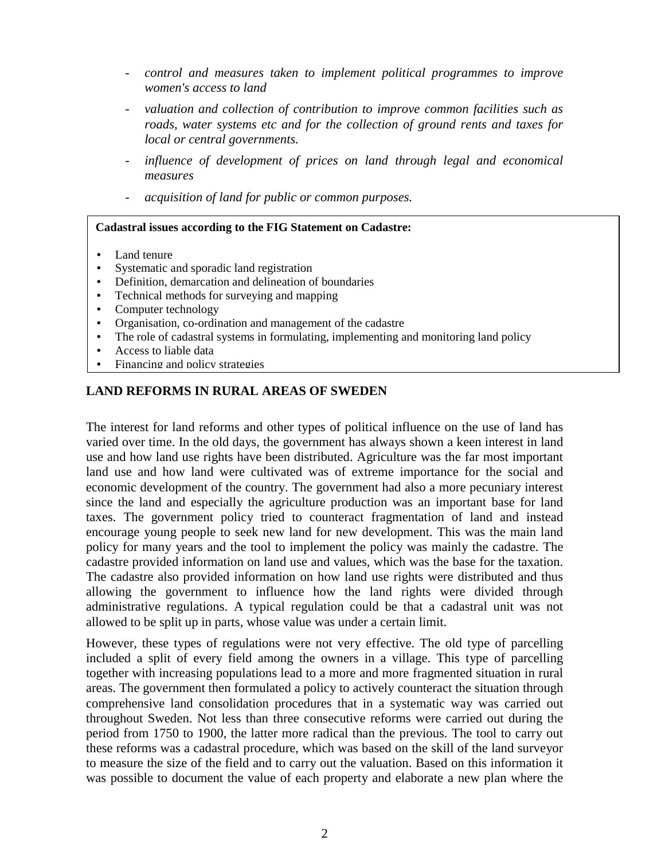- *control and measures taken to implement political programmes to improve women's access to land*
- *valuation and collection of contribution to improve common facilities such as roads, water systems etc and for the collection of ground rents and taxes for local or central governments.*
- *influence of development of prices on land through legal and economical measures*
- *acquisition of land for public or common purposes.*

#### **Cadastral issues according to the FIG Statement on Cadastre:**

- Land tenure
- Systematic and sporadic land registration
- Definition, demarcation and delineation of boundaries
- Technical methods for surveying and mapping
- Computer technology
- Organisation, co-ordination and management of the cadastre
- The role of cadastral systems in formulating, implementing and monitoring land policy
- Access to liable data
- Financing and policy strategies

#### **LAND REFORMS IN RURAL AREAS OF SWEDEN**

The interest for land reforms and other types of political influence on the use of land has varied over time. In the old days, the government has always shown a keen interest in land use and how land use rights have been distributed. Agriculture was the far most important land use and how land were cultivated was of extreme importance for the social and economic development of the country. The government had also a more pecuniary interest since the land and especially the agriculture production was an important base for land taxes. The government policy tried to counteract fragmentation of land and instead encourage young people to seek new land for new development. This was the main land policy for many years and the tool to implement the policy was mainly the cadastre. The cadastre provided information on land use and values, which was the base for the taxation. The cadastre also provided information on how land use rights were distributed and thus allowing the government to influence how the land rights were divided through administrative regulations. A typical regulation could be that a cadastral unit was not allowed to be split up in parts, whose value was under a certain limit.

However, these types of regulations were not very effective. The old type of parcelling included a split of every field among the owners in a village. This type of parcelling together with increasing populations lead to a more and more fragmented situation in rural areas. The government then formulated a policy to actively counteract the situation through comprehensive land consolidation procedures that in a systematic way was carried out throughout Sweden. Not less than three consecutive reforms were carried out during the period from 1750 to 1900, the latter more radical than the previous. The tool to carry out these reforms was a cadastral procedure, which was based on the skill of the land surveyor to measure the size of the field and to carry out the valuation. Based on this information it was possible to document the value of each property and elaborate a new plan where the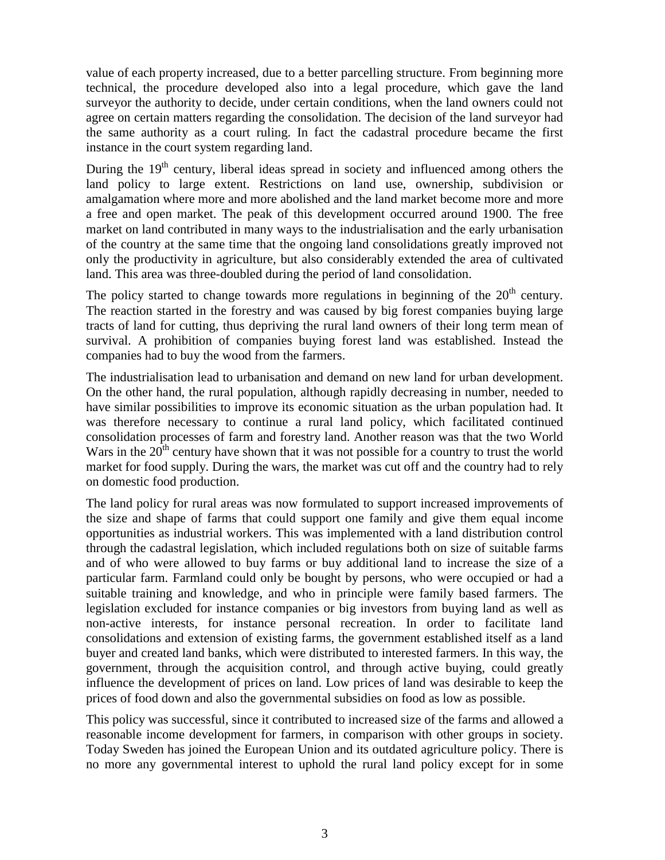value of each property increased, due to a better parcelling structure. From beginning more technical, the procedure developed also into a legal procedure, which gave the land surveyor the authority to decide, under certain conditions, when the land owners could not agree on certain matters regarding the consolidation. The decision of the land surveyor had the same authority as a court ruling. In fact the cadastral procedure became the first instance in the court system regarding land.

During the  $19<sup>th</sup>$  century, liberal ideas spread in society and influenced among others the land policy to large extent. Restrictions on land use, ownership, subdivision or amalgamation where more and more abolished and the land market become more and more a free and open market. The peak of this development occurred around 1900. The free market on land contributed in many ways to the industrialisation and the early urbanisation of the country at the same time that the ongoing land consolidations greatly improved not only the productivity in agriculture, but also considerably extended the area of cultivated land. This area was three-doubled during the period of land consolidation.

The policy started to change towards more regulations in beginning of the  $20<sup>th</sup>$  century. The reaction started in the forestry and was caused by big forest companies buying large tracts of land for cutting, thus depriving the rural land owners of their long term mean of survival. A prohibition of companies buying forest land was established. Instead the companies had to buy the wood from the farmers.

The industrialisation lead to urbanisation and demand on new land for urban development. On the other hand, the rural population, although rapidly decreasing in number, needed to have similar possibilities to improve its economic situation as the urban population had. It was therefore necessary to continue a rural land policy, which facilitated continued consolidation processes of farm and forestry land. Another reason was that the two World Wars in the  $20<sup>th</sup>$  century have shown that it was not possible for a country to trust the world market for food supply. During the wars, the market was cut off and the country had to rely on domestic food production.

The land policy for rural areas was now formulated to support increased improvements of the size and shape of farms that could support one family and give them equal income opportunities as industrial workers. This was implemented with a land distribution control through the cadastral legislation, which included regulations both on size of suitable farms and of who were allowed to buy farms or buy additional land to increase the size of a particular farm. Farmland could only be bought by persons, who were occupied or had a suitable training and knowledge, and who in principle were family based farmers. The legislation excluded for instance companies or big investors from buying land as well as non-active interests, for instance personal recreation. In order to facilitate land consolidations and extension of existing farms, the government established itself as a land buyer and created land banks, which were distributed to interested farmers. In this way, the government, through the acquisition control, and through active buying, could greatly influence the development of prices on land. Low prices of land was desirable to keep the prices of food down and also the governmental subsidies on food as low as possible.

This policy was successful, since it contributed to increased size of the farms and allowed a reasonable income development for farmers, in comparison with other groups in society. Today Sweden has joined the European Union and its outdated agriculture policy. There is no more any governmental interest to uphold the rural land policy except for in some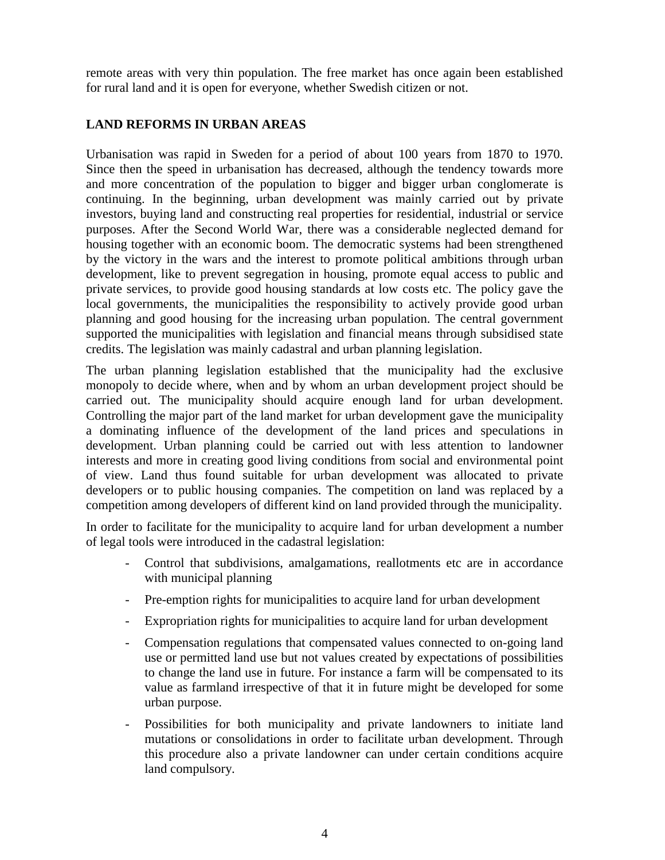remote areas with very thin population. The free market has once again been established for rural land and it is open for everyone, whether Swedish citizen or not.

#### **LAND REFORMS IN URBAN AREAS**

Urbanisation was rapid in Sweden for a period of about 100 years from 1870 to 1970. Since then the speed in urbanisation has decreased, although the tendency towards more and more concentration of the population to bigger and bigger urban conglomerate is continuing. In the beginning, urban development was mainly carried out by private investors, buying land and constructing real properties for residential, industrial or service purposes. After the Second World War, there was a considerable neglected demand for housing together with an economic boom. The democratic systems had been strengthened by the victory in the wars and the interest to promote political ambitions through urban development, like to prevent segregation in housing, promote equal access to public and private services, to provide good housing standards at low costs etc. The policy gave the local governments, the municipalities the responsibility to actively provide good urban planning and good housing for the increasing urban population. The central government supported the municipalities with legislation and financial means through subsidised state credits. The legislation was mainly cadastral and urban planning legislation.

The urban planning legislation established that the municipality had the exclusive monopoly to decide where, when and by whom an urban development project should be carried out. The municipality should acquire enough land for urban development. Controlling the major part of the land market for urban development gave the municipality a dominating influence of the development of the land prices and speculations in development. Urban planning could be carried out with less attention to landowner interests and more in creating good living conditions from social and environmental point of view. Land thus found suitable for urban development was allocated to private developers or to public housing companies. The competition on land was replaced by a competition among developers of different kind on land provided through the municipality.

In order to facilitate for the municipality to acquire land for urban development a number of legal tools were introduced in the cadastral legislation:

- Control that subdivisions, amalgamations, reallotments etc are in accordance with municipal planning
- Pre-emption rights for municipalities to acquire land for urban development
- Expropriation rights for municipalities to acquire land for urban development
- Compensation regulations that compensated values connected to on-going land use or permitted land use but not values created by expectations of possibilities to change the land use in future. For instance a farm will be compensated to its value as farmland irrespective of that it in future might be developed for some urban purpose.
- Possibilities for both municipality and private landowners to initiate land mutations or consolidations in order to facilitate urban development. Through this procedure also a private landowner can under certain conditions acquire land compulsory.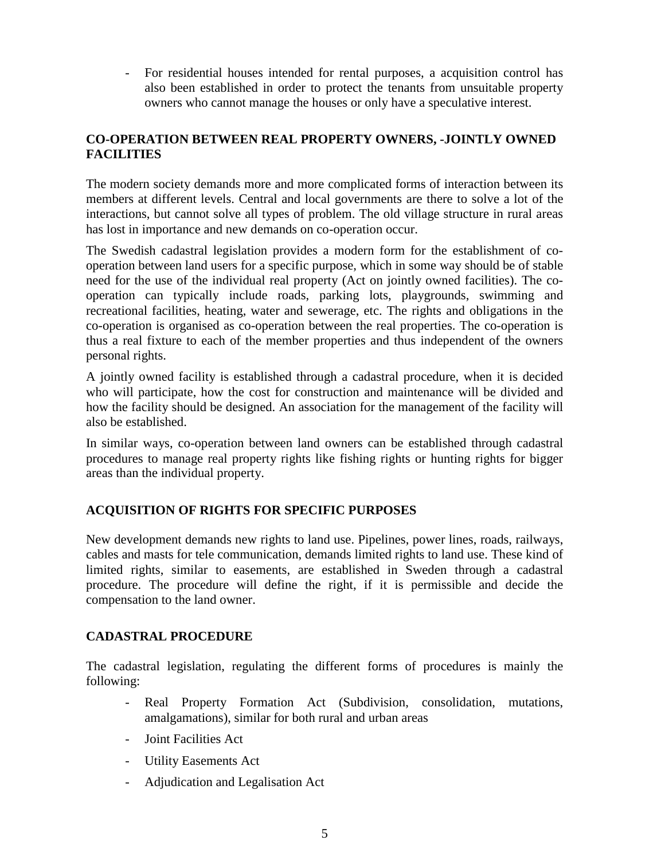- For residential houses intended for rental purposes, a acquisition control has also been established in order to protect the tenants from unsuitable property owners who cannot manage the houses or only have a speculative interest.

## **CO-OPERATION BETWEEN REAL PROPERTY OWNERS, -JOINTLY OWNED FACILITIES**

The modern society demands more and more complicated forms of interaction between its members at different levels. Central and local governments are there to solve a lot of the interactions, but cannot solve all types of problem. The old village structure in rural areas has lost in importance and new demands on co-operation occur.

The Swedish cadastral legislation provides a modern form for the establishment of cooperation between land users for a specific purpose, which in some way should be of stable need for the use of the individual real property (Act on jointly owned facilities). The cooperation can typically include roads, parking lots, playgrounds, swimming and recreational facilities, heating, water and sewerage, etc. The rights and obligations in the co-operation is organised as co-operation between the real properties. The co-operation is thus a real fixture to each of the member properties and thus independent of the owners personal rights.

A jointly owned facility is established through a cadastral procedure, when it is decided who will participate, how the cost for construction and maintenance will be divided and how the facility should be designed. An association for the management of the facility will also be established.

In similar ways, co-operation between land owners can be established through cadastral procedures to manage real property rights like fishing rights or hunting rights for bigger areas than the individual property.

#### **ACQUISITION OF RIGHTS FOR SPECIFIC PURPOSES**

New development demands new rights to land use. Pipelines, power lines, roads, railways, cables and masts for tele communication, demands limited rights to land use. These kind of limited rights, similar to easements, are established in Sweden through a cadastral procedure. The procedure will define the right, if it is permissible and decide the compensation to the land owner.

#### **CADASTRAL PROCEDURE**

The cadastral legislation, regulating the different forms of procedures is mainly the following:

- Real Property Formation Act (Subdivision, consolidation, mutations, amalgamations), similar for both rural and urban areas
- Joint Facilities Act
- Utility Easements Act
- Adjudication and Legalisation Act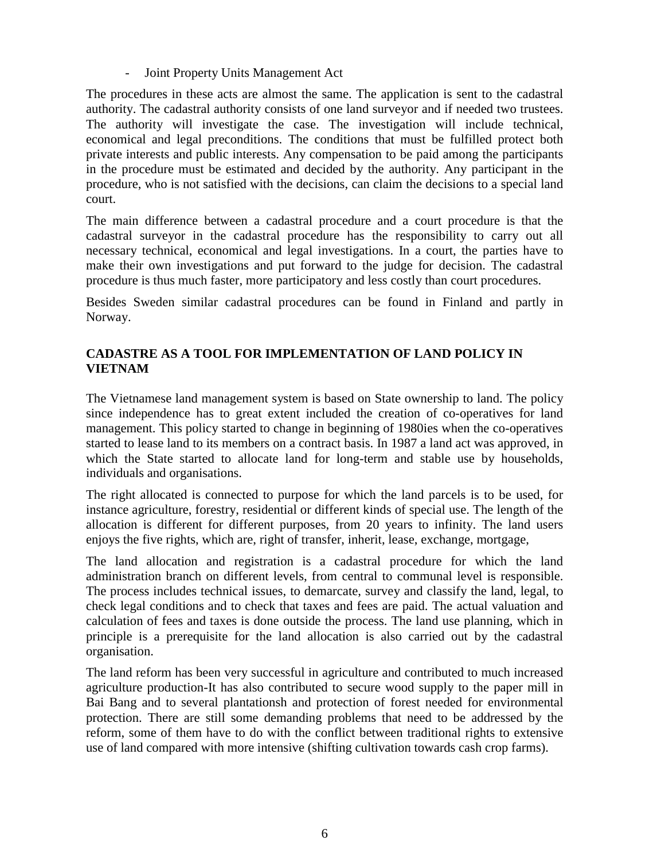Joint Property Units Management Act

The procedures in these acts are almost the same. The application is sent to the cadastral authority. The cadastral authority consists of one land surveyor and if needed two trustees. The authority will investigate the case. The investigation will include technical, economical and legal preconditions. The conditions that must be fulfilled protect both private interests and public interests. Any compensation to be paid among the participants in the procedure must be estimated and decided by the authority. Any participant in the procedure, who is not satisfied with the decisions, can claim the decisions to a special land court.

The main difference between a cadastral procedure and a court procedure is that the cadastral surveyor in the cadastral procedure has the responsibility to carry out all necessary technical, economical and legal investigations. In a court, the parties have to make their own investigations and put forward to the judge for decision. The cadastral procedure is thus much faster, more participatory and less costly than court procedures.

Besides Sweden similar cadastral procedures can be found in Finland and partly in Norway.

### **CADASTRE AS A TOOL FOR IMPLEMENTATION OF LAND POLICY IN VIETNAM**

The Vietnamese land management system is based on State ownership to land. The policy since independence has to great extent included the creation of co-operatives for land management. This policy started to change in beginning of 1980ies when the co-operatives started to lease land to its members on a contract basis. In 1987 a land act was approved, in which the State started to allocate land for long-term and stable use by households, individuals and organisations.

The right allocated is connected to purpose for which the land parcels is to be used, for instance agriculture, forestry, residential or different kinds of special use. The length of the allocation is different for different purposes, from 20 years to infinity. The land users enjoys the five rights, which are, right of transfer, inherit, lease, exchange, mortgage,

The land allocation and registration is a cadastral procedure for which the land administration branch on different levels, from central to communal level is responsible. The process includes technical issues, to demarcate, survey and classify the land, legal, to check legal conditions and to check that taxes and fees are paid. The actual valuation and calculation of fees and taxes is done outside the process. The land use planning, which in principle is a prerequisite for the land allocation is also carried out by the cadastral organisation.

The land reform has been very successful in agriculture and contributed to much increased agriculture production-It has also contributed to secure wood supply to the paper mill in Bai Bang and to several plantationsh and protection of forest needed for environmental protection. There are still some demanding problems that need to be addressed by the reform, some of them have to do with the conflict between traditional rights to extensive use of land compared with more intensive (shifting cultivation towards cash crop farms).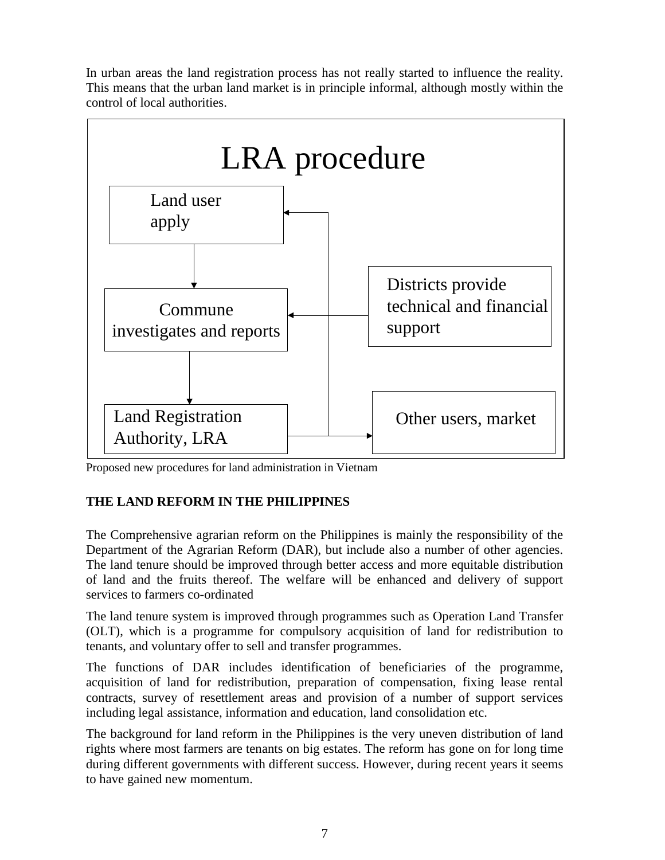In urban areas the land registration process has not really started to influence the reality. This means that the urban land market is in principle informal, although mostly within the control of local authorities.



Proposed new procedures for land administration in Vietnam

# **THE LAND REFORM IN THE PHILIPPINES**

The Comprehensive agrarian reform on the Philippines is mainly the responsibility of the Department of the Agrarian Reform (DAR), but include also a number of other agencies. The land tenure should be improved through better access and more equitable distribution of land and the fruits thereof. The welfare will be enhanced and delivery of support services to farmers co-ordinated

The land tenure system is improved through programmes such as Operation Land Transfer (OLT), which is a programme for compulsory acquisition of land for redistribution to tenants, and voluntary offer to sell and transfer programmes.

The functions of DAR includes identification of beneficiaries of the programme, acquisition of land for redistribution, preparation of compensation, fixing lease rental contracts, survey of resettlement areas and provision of a number of support services including legal assistance, information and education, land consolidation etc.

The background for land reform in the Philippines is the very uneven distribution of land rights where most farmers are tenants on big estates. The reform has gone on for long time during different governments with different success. However, during recent years it seems to have gained new momentum.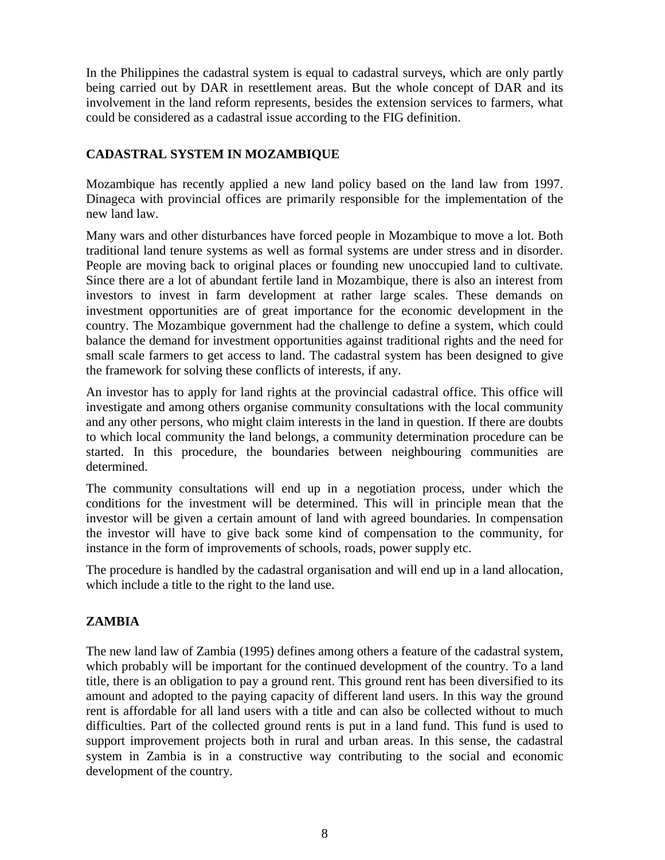In the Philippines the cadastral system is equal to cadastral surveys, which are only partly being carried out by DAR in resettlement areas. But the whole concept of DAR and its involvement in the land reform represents, besides the extension services to farmers, what could be considered as a cadastral issue according to the FIG definition.

#### **CADASTRAL SYSTEM IN MOZAMBIQUE**

Mozambique has recently applied a new land policy based on the land law from 1997. Dinageca with provincial offices are primarily responsible for the implementation of the new land law.

Many wars and other disturbances have forced people in Mozambique to move a lot. Both traditional land tenure systems as well as formal systems are under stress and in disorder. People are moving back to original places or founding new unoccupied land to cultivate. Since there are a lot of abundant fertile land in Mozambique, there is also an interest from investors to invest in farm development at rather large scales. These demands on investment opportunities are of great importance for the economic development in the country. The Mozambique government had the challenge to define a system, which could balance the demand for investment opportunities against traditional rights and the need for small scale farmers to get access to land. The cadastral system has been designed to give the framework for solving these conflicts of interests, if any.

An investor has to apply for land rights at the provincial cadastral office. This office will investigate and among others organise community consultations with the local community and any other persons, who might claim interests in the land in question. If there are doubts to which local community the land belongs, a community determination procedure can be started. In this procedure, the boundaries between neighbouring communities are determined.

The community consultations will end up in a negotiation process, under which the conditions for the investment will be determined. This will in principle mean that the investor will be given a certain amount of land with agreed boundaries. In compensation the investor will have to give back some kind of compensation to the community, for instance in the form of improvements of schools, roads, power supply etc.

The procedure is handled by the cadastral organisation and will end up in a land allocation, which include a title to the right to the land use.

#### **ZAMBIA**

The new land law of Zambia (1995) defines among others a feature of the cadastral system, which probably will be important for the continued development of the country. To a land title, there is an obligation to pay a ground rent. This ground rent has been diversified to its amount and adopted to the paying capacity of different land users. In this way the ground rent is affordable for all land users with a title and can also be collected without to much difficulties. Part of the collected ground rents is put in a land fund. This fund is used to support improvement projects both in rural and urban areas. In this sense, the cadastral system in Zambia is in a constructive way contributing to the social and economic development of the country.